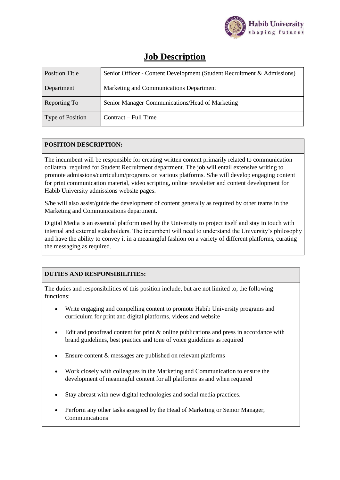

## **Job Description**

| <b>Position Title</b> | Senior Officer - Content Development (Student Recruitment & Admissions) |  |
|-----------------------|-------------------------------------------------------------------------|--|
| Department            | Marketing and Communications Department                                 |  |
| Reporting To          | Senior Manager Communications/Head of Marketing                         |  |
| Type of Position      | Contract – Full Time                                                    |  |

## **POSITION DESCRIPTION:**

The incumbent will be responsible for creating written content primarily related to communication collateral required for Student Recruitment department. The job will entail extensive writing to promote admissions/curriculum/programs on various platforms. S/he will develop engaging content for print communication material, video scripting, online newsletter and content development for Habib University admissions website pages.

S/he will also assist/guide the development of content generally as required by other teams in the Marketing and Communications department.

Digital Media is an essential platform used by the University to project itself and stay in touch with internal and external stakeholders. The incumbent will need to understand the University's philosophy and have the ability to convey it in a meaningful fashion on a variety of different platforms, curating the messaging as required.

## **DUTIES AND RESPONSIBILITIES:**

The duties and responsibilities of this position include, but are not limited to, the following functions:

- Write engaging and compelling content to promote Habib University programs and curriculum for print and digital platforms, videos and website
- Edit and proofread content for print  $\&$  online publications and press in accordance with brand guidelines, best practice and tone of voice guidelines as required
- Ensure content & messages are published on relevant platforms
- Work closely with colleagues in the Marketing and Communication to ensure the development of meaningful content for all platforms as and when required
- Stay abreast with new digital technologies and social media practices.
- Perform any other tasks assigned by the Head of Marketing or Senior Manager, Communications